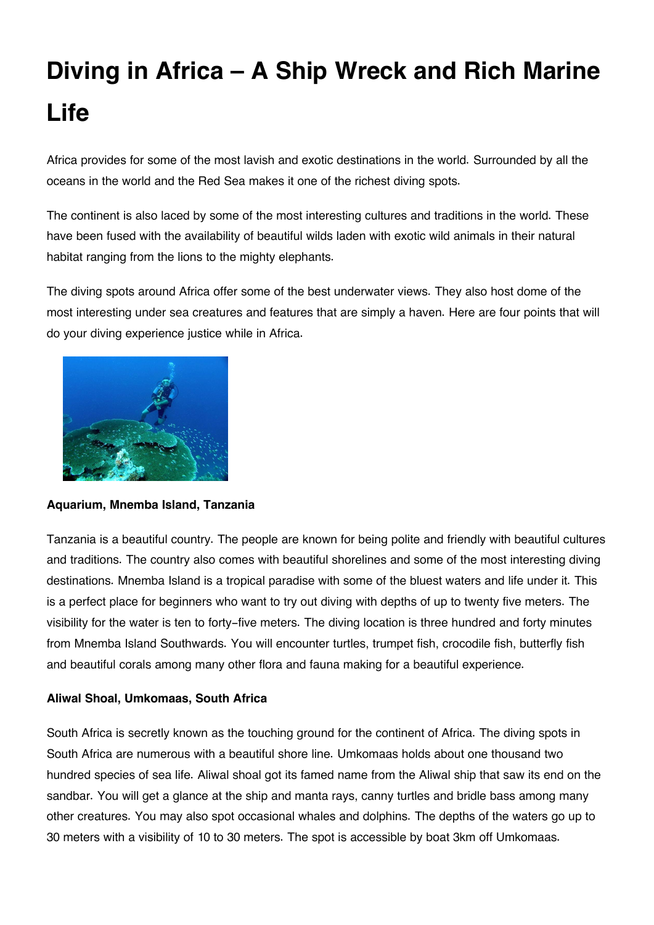# **Diving in Africa – A Ship Wreck and Rich Marine Life**

Africa provides for some of the most lavish and exotic destinations in the world. Surrounded by all the oceans in the world and the Red Sea makes it one of the richest diving spots.

The continent is also laced by some of the most interesting cultures and traditions in the world. These have been fused with the availability of beautiful wilds laden with exotic wild animals in their natural habitat ranging from the lions to the mighty elephants.

The diving spots around Africa offer some of the best underwater views. They also host dome of the most interesting under sea creatures and features that are simply a haven. Here are four points that will do your diving experience justice while in Africa.



# **Aquarium, Mnemba Island, Tanzania**

Tanzania is a beautiful country. The people are known for being polite and friendly with beautiful cultures and traditions. The country also comes with beautiful shorelines and some of the most interesting diving destinations. Mnemba Island is a tropical paradise with some of the bluest waters and life under it. This is a perfect place for beginners who want to try out diving with depths of up to twenty five meters. The visibility for the water is ten to forty-five meters. The diving location is three hundred and forty minutes from Mnemba Island Southwards. You will encounter turtles, trumpet fish, crocodile fish, butterfly fish and beautiful corals among many other flora and fauna making for a beautiful experience.

# **Aliwal Shoal, Umkomaas, South Africa**

South Africa is secretly known as the touching ground for the continent of Africa. The diving spots in South Africa are numerous with a beautiful shore line. Umkomaas holds about one thousand two hundred species of sea life. Aliwal shoal got its famed name from the Aliwal ship that saw its end on the sandbar. You will get a glance at the ship and manta rays, canny turtles and bridle bass among many other creatures. You may also spot occasional whales and dolphins. The depths of the waters go up to 30 meters with a visibility of 10 to 30 meters. The spot is accessible by boat 3km off Umkomaas.